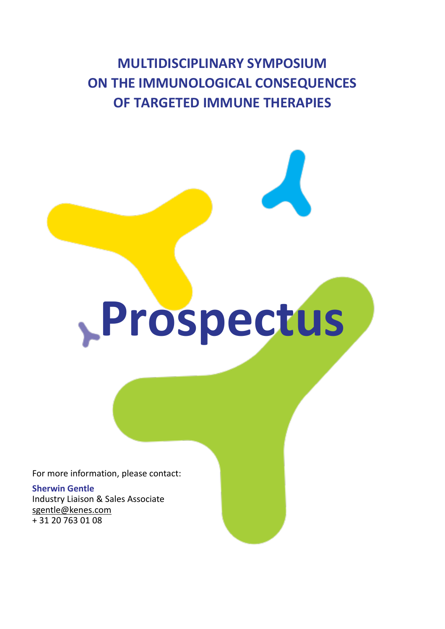**MULTIDISCIPLINARY SYMPOSIUM ON THE IMMUNOLOGICAL CONSEQUENCES OF TARGETED IMMUNE THERAPIES**

**Prospectus**

For more information, please contact:

**Sherwin Gentle** Industry Liaison & Sales Associate [sgentle@kenes.com](mailto:sgentle@kenes.com) + 31 20 763 01 08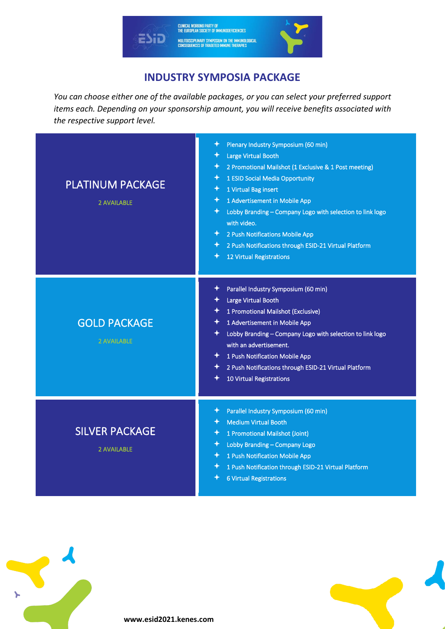

# **INDUSTRY SYMPOSIA PACKAGE**

*You can choose either one of the available packages, or you can select your preferred support items each. Depending on your sponsorship amount, you will receive benefits associated with the respective support level.*

| <b>PLATINUM PACKAGE</b><br><b>2 AVAILABLE</b> | Plenary Industry Symposium (60 min)<br>✦<br><b>Large Virtual Booth</b><br>2 Promotional Mailshot (1 Exclusive & 1 Post meeting)<br>1 ESID Social Media Opportunity<br>1 Virtual Bag insert<br>1 Advertisement in Mobile App<br>✦<br>✦<br>Lobby Branding - Company Logo with selection to link logo<br>with video.<br>2 Push Notifications Mobile App<br>✦<br>2 Push Notifications through ESID-21 Virtual Platform<br>✦<br>12 Virtual Registrations<br>✦ |
|-----------------------------------------------|----------------------------------------------------------------------------------------------------------------------------------------------------------------------------------------------------------------------------------------------------------------------------------------------------------------------------------------------------------------------------------------------------------------------------------------------------------|
| <b>GOLD PACKAGE</b><br><b>2 AVAILABLE</b>     | Parallel Industry Symposium (60 min)<br>✦<br>Large Virtual Booth<br>1 Promotional Mailshot (Exclusive)<br>1 Advertisement in Mobile App<br>Lobby Branding - Company Logo with selection to link logo<br>with an advertisement.<br>1 Push Notification Mobile App<br>✦<br>2 Push Notifications through ESID-21 Virtual Platform<br>10 Virtual Registrations                                                                                               |
| <b>SILVER PACKAGE</b><br><b>2 AVAILABLE</b>   | Parallel Industry Symposium (60 min)<br><b>Medium Virtual Booth</b><br>1 Promotional Mailshot (Joint)<br>✦<br>Lobby Branding - Company Logo<br>✦<br>1 Push Notification Mobile App<br>1 Push Notification through ESID-21 Virtual Platform<br>✦<br><b>6 Virtual Registrations</b>                                                                                                                                                                        |

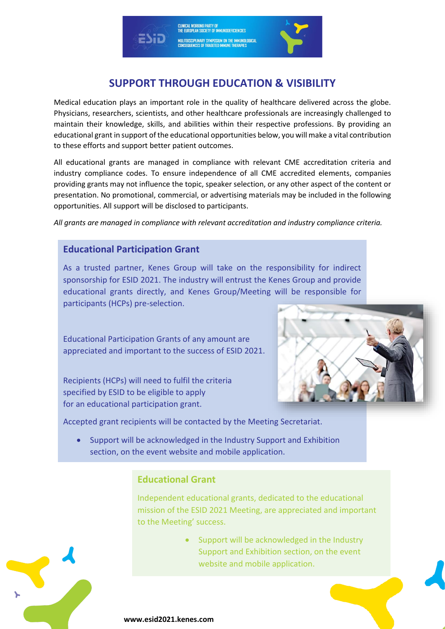# **SUPPORT THROUGH EDUCATION & VISIBILITY**

Medical education plays an important role in the quality of healthcare delivered across the globe. Physicians, researchers, scientists, and other healthcare professionals are increasingly challenged to maintain their knowledge, skills, and abilities within their respective professions. By providing an educational grant in support of the educational opportunities below, you will make a vital contribution to these efforts and support better patient outcomes.

All educational grants are managed in compliance with relevant CME accreditation criteria and industry compliance codes. To ensure independence of all CME accredited elements, companies providing grants may not influence the topic, speaker selection, or any other aspect of the content or presentation. No promotional, commercial, or advertising materials may be included in the following opportunities. All support will be disclosed to participants.

*All grants are managed in compliance with relevant accreditation and industry compliance criteria.*

## **Educational Participation Grant**

As a trusted partner, Kenes Group will take on the responsibility for indirect sponsorship for ESID 2021. The industry will entrust the Kenes Group and provide educational grants directly, and Kenes Group/Meeting will be responsible for participants (HCPs) pre-selection.

Educational Participation Grants of any amount are appreciated and important to the success of ESID 2021.

Recipients (HCPs) will need to fulfil the criteria specified by ESID to be eligible to apply for an educational participation grant.



Accepted grant recipients will be contacted by the Meeting Secretariat.

• Support will be acknowledged in the Industry Support and Exhibition section, on the event website and mobile application.

## **Educational Grant**

Independent educational grants, dedicated to the educational mission of the ESID 2021 Meeting, are appreciated and important to the Meeting' success.

> • Support will be acknowledged in the Industry Support and Exhibition section, on the event website and mobile application.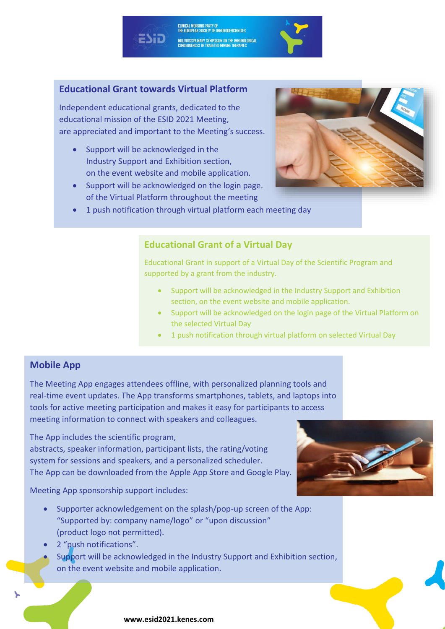# **Educational Grant towards Virtual Platform**

Independent educational grants, dedicated to the educational mission of the ESID 2021 Meeting, are appreciated and important to the Meeting's success.

- Support will be acknowledged in the Industry Support and Exhibition section, on the event website and mobile application.
- Support will be acknowledged on the login page. of the Virtual Platform throughout the meeting



• 1 push notification through virtual platform each meeting day

#### **Educational Grant of a Virtual Day**

<mark>clinical working party of</mark><br>The European Society of Immunodeficiencies

MULITDISCIPLINARY SYMPOSIUM ON THE IMMUNOLOGICAL<br>Consequences of trageted immune therapies

Educational Grant in support of a Virtual Day of the Scientific Program and supported by a grant from the industry.

- Support will be acknowledged in the Industry Support and Exhibition section, on the event website and mobile application.
- Support will be acknowledged on the login page of the Virtual Platform on the selected Virtual Day
- 1 push notification through virtual platform on selected Virtual Day

#### **Mobile App**

The Meeting App engages attendees offline, with personalized planning tools and real-time event updates. The App transforms smartphones, tablets, and laptops into tools for active meeting participation and makes it easy for participants to access meeting information to connect with speakers and colleagues.

The App includes the scientific program, abstracts, speaker information, participant lists, the rating/voting system for sessions and speakers, and a personalized scheduler. The App can be downloaded from the Apple App Store and Google Play.

Meeting App sponsorship support includes:

- Supporter acknowledgement on the splash/pop-up screen of the App: "Supported by: company name/logo" or "upon discussion" (product logo not permitted).
- 2 "push notifications".
- Support will be acknowledged in the Industry Support and Exhibition section, on the event website and mobile application.

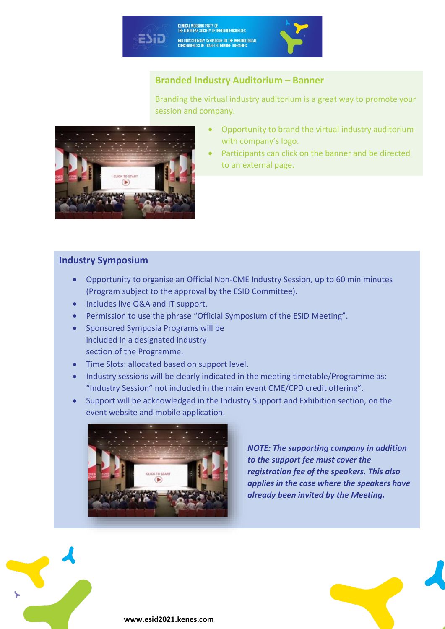# CLINICAL WORKING PARTY OF<br>THE EUROPEAN SOCIETY OF IMMUNODEFICIENCIES ESiD MULITDISCIPLINARY SYMPOSIUM ON THE IMMUNOLOGICAL<br>CONSEQUENCES OF TRAGETED IMMUNE THERAPIES

# **Branded Industry Auditorium – Banner**

Branding the virtual industry auditorium is a great way to promote your session and company.



- Opportunity to brand the virtual industry auditorium with company's logo.
- Participants can click on the banner and be directed to an external page.

## **Industry Symposium**

- Opportunity to organise an Official Non-CME Industry Session, up to 60 min minutes (Program subject to the approval by the ESID Committee).
- Includes live Q&A and IT support.
- Permission to use the phrase "Official Symposium of the ESID Meeting".
- Sponsored Symposia Programs will be included in a designated industry section of the Programme.
- Time Slots: allocated based on support level.
- Industry sessions will be clearly indicated in the meeting timetable/Programme as: "Industry Session" not included in the main event CME/CPD credit offering".
- Support will be acknowledged in the Industry Support and Exhibition section, on the event website and mobile application.



*NOTE: The supporting company in addition to the support fee must cover the registration fee of the speakers. This also applies in the case where the speakers have already been invited by the Meeting.* 

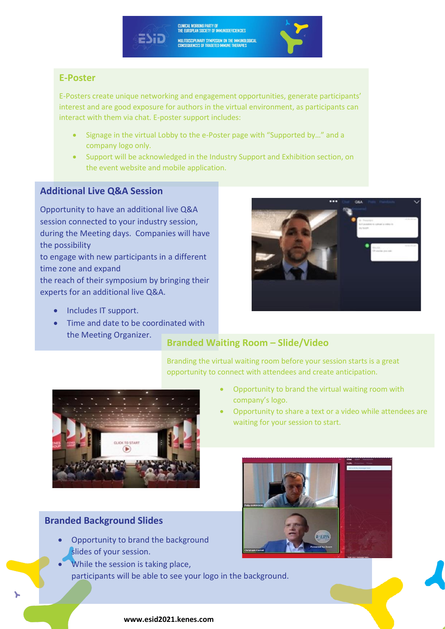CLINICAL WORKING PARTY OF<br>THE EUROPEAN SOCIETY OF IMMUNODEFICIENCIES MULITDISCIPLINARY SYMPOSIUM ON THE IMMUNOLOGICAL<br>Consequences of trageted immune therapies



# **E-Poster**

E-Posters create unique networking and engagement opportunities, generate participants' interest and are good exposure for authors in the virtual environment, as participants can interact with them via chat. E-poster support includes:

- Signage in the virtual Lobby to the e-Poster page with "Supported by…" and a company logo only.
- Support will be acknowledged in the Industry Support and Exhibition section, on the event website and mobile application.

# **Additional Live Q&A Session**

Opportunity to have an additional live Q&A session connected to your industry session, during the Meeting days. Companies will have the possibility

to engage with new participants in a different time zone and expand

the reach of their symposium by bringing their experts for an additional live Q&A.

- Includes IT support.
- Time and date to be coordinated with the Meeting Organizer.



# **Branded Waiting Room – Slide/Video**

Branding the virtual waiting room before your session starts is a great opportunity to connect with attendees and create anticipation.



## • Opportunity to brand the virtual waiting room with company's logo.

• Opportunity to share a text or a video while attendees are waiting for your session to start.



# **Branded Background Slides**

- Opportunity to brand the background slides of your session.
- While the session is taking place, participants will be able to see your logo in the background.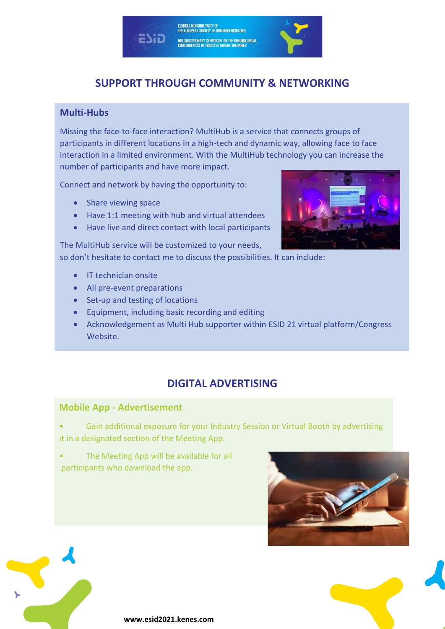# **SUPPORT THROUGH COMMUNITY & NETWORKING**

CLINICAL WORKING PARTY OF<br>THE EUROPEAN SOCIETY OF IMMUNODEFICIENCIES

MULITDISCIPLINARY SYMPOSIUM ON THE IMMUNOLOGICAL<br>Consequences of trageted immune therapies

## **Multi-Hubs**

Missing the face-to-face interaction? MultiHub is a service that connects groups of participants in different locations in a high-tech and dynamic way, allowing face to face interaction in a limited environment. With the MultiHub technology you can increase the number of participants and have more impact.

Connect and network by having the opportunity to:

- Share viewing space
- Have 1:1 meeting with hub and virtual attendees
- Have live and direct contact with local participants

The MultiHub service will be customized to your needs, so don't hesitate to contact me to discuss the possibilities. It can include:

- IT technician onsite
- All pre-event preparations
- Set-up and testing of locations
- Equipment, including basic recording and editing
- Acknowledgement as Multi Hub supporter within ESID 21 virtual platform/Congress Website.

# **DIGITAL ADVERTISING**

#### **Mobile App - Advertisement**

• Gain additional exposure for your Industry Session or Virtual Booth by advertising it in a designated section of the Meeting App.

The Meeting App will be available for all participants who download the app.





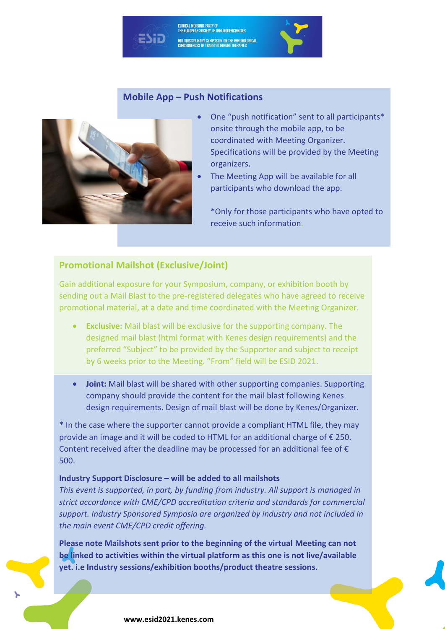#### **Mobile App – Push Notifications**

<mark>clinical working party of</mark><br>The European Society of Immunodeficiencies

MULITDISCIPLINARY SYMPOSIUM ON THE IMMUNOLOGICAL<br>Consequences of trageted immune therapies



- One "push notification" sent to all participants\* onsite through the mobile app, to be coordinated with Meeting Organizer. Specifications will be provided by the Meeting organizers.
- The Meeting App will be available for all participants who download the app.
	- \*Only for those participants who have opted to receive such information.

#### **Promotional Mailshot (Exclusive/Joint)**

Gain additional exposure for your Symposium, company, or exhibition booth by sending out a Mail Blast to the pre-registered delegates who have agreed to receive promotional material, at a date and time coordinated with the Meeting Organizer.

- **Exclusive:** Mail blast will be exclusive for the supporting company. The designed mail blast (html format with Kenes design requirements) and the preferred "Subject" to be provided by the Supporter and subject to receipt by 6 weeks prior to the Meeting. "From" field will be ESID 2021.
- **Joint:** Mail blast will be shared with other supporting companies. Supporting company should provide the content for the mail blast following Kenes design requirements. Design of mail blast will be done by Kenes/Organizer.

\* In the case where the supporter cannot provide a compliant HTML file, they may provide an image and it will be coded to HTML for an additional charge of € 250. Content received after the deadline may be processed for an additional fee of  $\epsilon$ 500.

#### **Industry Support Disclosure – will be added to all mailshots**

*This event is supported, in part, by funding from industry. All support is managed in strict accordance with CME/CPD accreditation criteria and standards for commercial support. Industry Sponsored Symposia are organized by industry and not included in the main event CME/CPD credit offering.*

**Please note Mailshots sent prior to the beginning of the virtual Meeting can not be linked to activities within the virtual platform as this one is not live/available yet. i.e Industry sessions/exhibition booths/product theatre sessions.**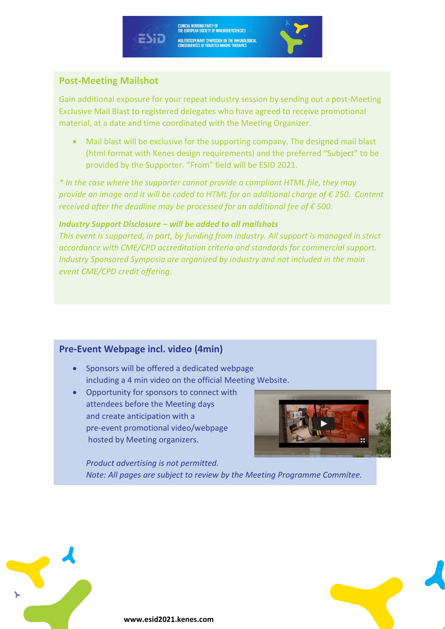# CLINICAL WORKING PARTY OF<br>THE EUROPEAN SOCIETY OF IMMUNODEFICIENCIES





## **Post-Meeting Mailshot**

Gain additional exposure for your repeat industry session by sending out a post-Meeting Exclusive Mail Blast to registered delegates who have agreed to receive promotional material, at a date and time coordinated with the Meeting Organizer.

• Mail blast will be exclusive for the supporting company. The designed mail blast (html format with Kenes design requirements) and the preferred "Subject" to be provided by the Supporter. "From" field will be ESID 2021.

*\* In the case where the supporter cannot provide a compliant HTML file, they may provide an image and it will be coded to HTML for an additional charge of € 250. Content received after the deadline may be processed for an additional fee of € 500.*

#### *Industry Support Disclosure – will be added to all mailshots*

*This event is supported, in part, by funding from industry. All support is managed in strict accordance with CME/CPD accreditation criteria and standards for commercial support. Industry Sponsored Symposia are organized by industry and not included in the main event CME/CPD credit offering.*

# **Pre-Event Webpage incl. video (4min)**

- Sponsors will be offered a dedicated webpage including a 4 min video on the official Meeting Website.
- Opportunity for sponsors to connect with attendees before the Meeting days and create anticipation with a pre-event promotional video/webpage hosted by Meeting organizers.



*Product advertising is not permitted. Note: All pages are subject to review by the Meeting Programme Commitee.*

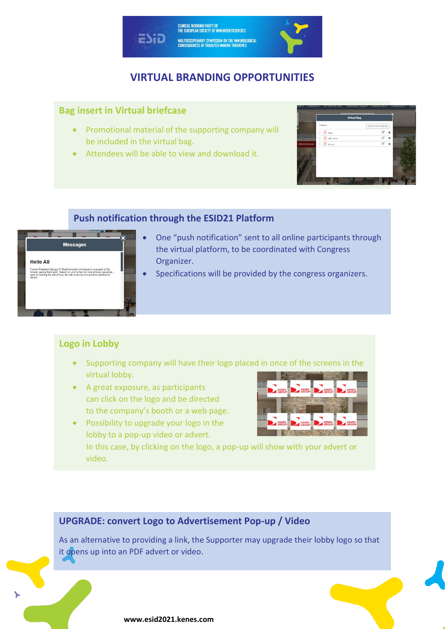

# **VIRTUAL BRANDING OPPORTUNITIES**

## **Bag insert in Virtual briefcase**

- Promotional material of the supporting company will be included in the virtual bag.
- Attendees will be able to view and download it.

|         |        |         |                 | <b>Virtual Bag</b> |                         |   |  |
|---------|--------|---------|-----------------|--------------------|-------------------------|---|--|
|         |        | Oswatar |                 |                    | Remove from Virtual Bag |   |  |
|         | $\Box$ | 顶       | Kess            |                    | ø                       | × |  |
|         | $\Box$ | 固       | CME - Haw to    |                    | G,                      | × |  |
| PROGRAM | o      |         | <b>B</b> transa |                    | ď                       | × |  |
|         |        |         |                 |                    |                         |   |  |

## **Push notification through the ESID21 Platform**



- One "push notification" sent to all online participants through the virtual platform, to be coordinated with Congress Organizer.
- Specifications will be provided by the congress organizers.

# **Logo in Lobby**

- Supporting company will have their logo placed in once of the screens in the virtual lobby.
- A great exposure, as participants can click on the logo and be directed to the company's booth or a web page.
- KENES
- Possibility to upgrade your logo in the lobby to a pop-up video or advert.

In this case, by clicking on the logo, a pop-up will show with your advert or video.

# **UPGRADE: convert Logo to Advertisement Pop-up / Video**

As an alternative to providing a link, the Supporter may upgrade their lobby logo so that it opens up into an PDF advert or video.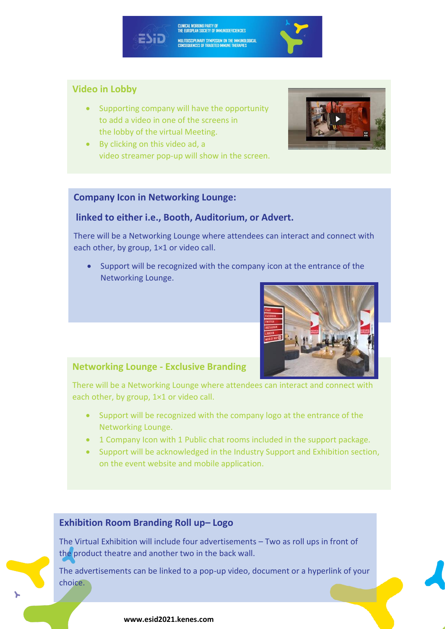## **Video in Lobby**

• Supporting company will have the opportunity to add a video in one of the screens in the lobby of the virtual Meeting.

CLINICAL WORKING PARTY OF<br>THE EUROPEAN SOCIETY OF IMMUNODEFICIENCIES

MULITDISCIPLINARY SYMPOSIUM ON THE IMMUNOLOGICAL<br>Consequences of trageted immune therapies

• By clicking on this video ad, a video streamer pop-up will show in the screen.

#### **Company Icon in Networking Lounge:**

#### **linked to either i.e., Booth, Auditorium, or Advert.**

There will be a Networking Lounge where attendees can interact and connect with each other, by group, 1×1 or video call.

• Support will be recognized with the company icon at the entrance of the Networking Lounge.



#### **Networking Lounge - Exclusive Branding**

There will be a Networking Lounge where attendees can interact and connect with each other, by group, 1×1 or video call.

- Support will be recognized with the company logo at the entrance of the Networking Lounge.
- 1 Company Icon with 1 Public chat rooms included in the support package.
- Support will be acknowledged in the Industry Support and Exhibition section, on the event website and mobile application.

#### **Exhibition Room Branding Roll up– Logo**

The Virtual Exhibition will include four advertisements – Two as roll ups in front of the product theatre and another two in the back wall.

The advertisements can be linked to a pop-up video, document or a hyperlink of your choice.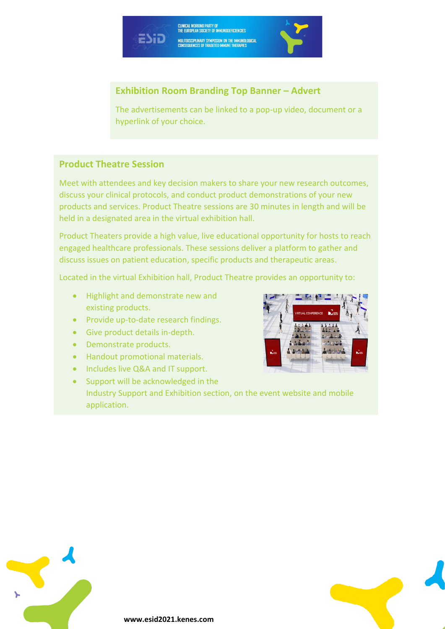# **Exhibition Room Branding Top Banner – Advert**

CLINICAL WORKING PARTY OF<br>THE EUROPEAN SOCIETY OF IMMUNODEFICIENCIES

MULITDISCIPLINARY SYMPOSIUM ON THE IMMUNOLOGICAL<br>Consequences of trageted immune therapies

The advertisements can be linked to a pop-up video, document or a hyperlink of your choice.

# **Product Theatre Session**

Meet with attendees and key decision makers to share your new research outcomes, discuss your clinical protocols, and conduct product demonstrations of your new products and services. Product Theatre sessions are 30 minutes in length and will be held in a designated area in the virtual exhibition hall.

Product Theaters provide a high value, live educational opportunity for hosts to reach engaged healthcare professionals. These sessions deliver a platform to gather and discuss issues on patient education, specific products and therapeutic areas.

Located in the virtual Exhibition hall, Product Theatre provides an opportunity to:

• Highlight and demonstrate new and existing products.

FSiD

- Provide up-to-date research findings.
- Give product details in-depth.
- Demonstrate products.
- Handout promotional materials.
- Includes live Q&A and IT support.
- Support will be acknowledged in the Industry Support and Exhibition section, on the event website and mobile application.



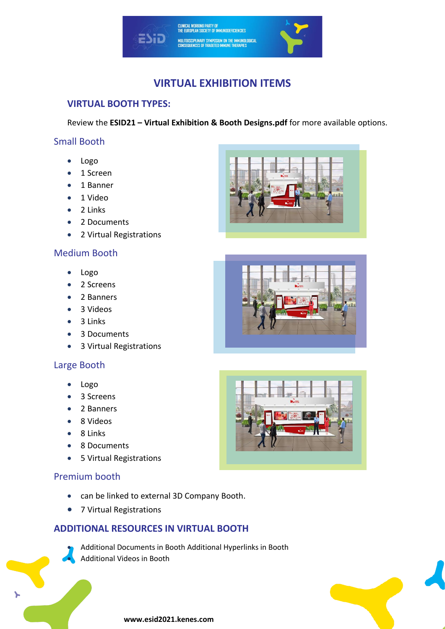

# **VIRTUAL EXHIBITION ITEMS**

# **VIRTUAL BOOTH TYPES:**

Review the **ESID21 – Virtual Exhibition & Booth Designs.pdf** for more available options.

#### Small Booth

- Logo
- 1 Screen
- 1 Banner
- 1 Video
- 2 Links
- 2 Documents
- 2 Virtual Registrations

## Medium Booth

- Logo
- 2 Screens
- 2 Banners
- 3 Videos
- 3 Links
- 3 Documents
- 3 Virtual Registrations

#### Large Booth

- Logo
- 3 Screens
- 2 Banners
- 8 Videos
- 8 Links
- 8 Documents
- 5 Virtual Registrations

## Premium booth

- can be linked to external 3D Company Booth.
- 7 Virtual Registrations

# **ADDITIONAL RESOURCES IN VIRTUAL BOOTH**

• Additional Documents in Booth Additional Hyperlinks in Booth • Additional Videos in Booth







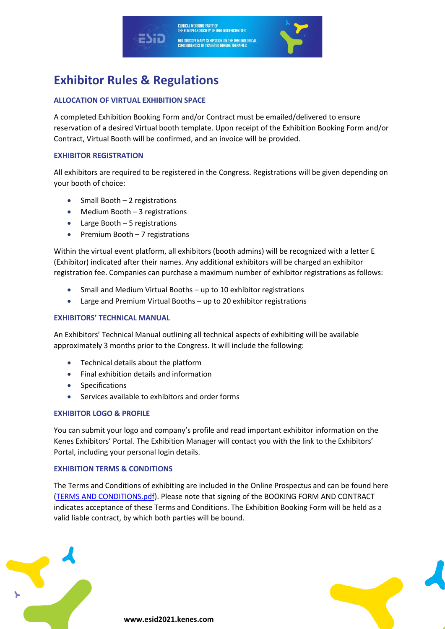

# **Exhibitor Rules & Regulations**

#### **ALLOCATION OF VIRTUAL EXHIBITION SPACE**

A completed Exhibition Booking Form and/or Contract must be emailed/delivered to ensure reservation of a desired Virtual booth template. Upon receipt of the Exhibition Booking Form and/or Contract, Virtual Booth will be confirmed, and an invoice will be provided.

#### **EXHIBITOR REGISTRATION**

All exhibitors are required to be registered in the Congress. Registrations will be given depending on your booth of choice:

- Small Booth 2 registrations
- Medium Booth 3 registrations
- Large Booth 5 registrations
- Premium Booth 7 registrations

Within the virtual event platform, all exhibitors (booth admins) will be recognized with a letter E (Exhibitor) indicated after their names. Any additional exhibitors will be charged an exhibitor registration fee. Companies can purchase a maximum number of exhibitor registrations as follows:

- Small and Medium Virtual Booths up to 10 exhibitor registrations
- Large and Premium Virtual Booths up to 20 exhibitor registrations

#### **EXHIBITORS' TECHNICAL MANUAL**

An Exhibitors' Technical Manual outlining all technical aspects of exhibiting will be available approximately 3 months prior to the Congress. It will include the following:

- Technical details about the platform
- Final exhibition details and information
- **Specifications**
- Services available to exhibitors and order forms

#### **EXHIBITOR LOGO & PROFILE**

You can submit your logo and company's profile and read important exhibitor information on the Kenes Exhibitors' Portal. The Exhibition Manager will contact you with the link to the Exhibitors' Portal, including your personal login details.

#### **EXHIBITION TERMS & CONDITIONS**

The Terms and Conditions of exhibiting are included in the Online Prospectus and can be found here [\(TERMS AND CONDITIONS.pdf\)](http://esid2021.kenes.com/wp-content/uploads/sites/147/2021/02/ESID21-Terms-Conditions-Virtual.pdf). Please note that signing of the BOOKING FORM AND CONTRACT indicates acceptance of these Terms and Conditions. The Exhibition Booking Form will be held as a valid liable contract, by which both parties will be bound.